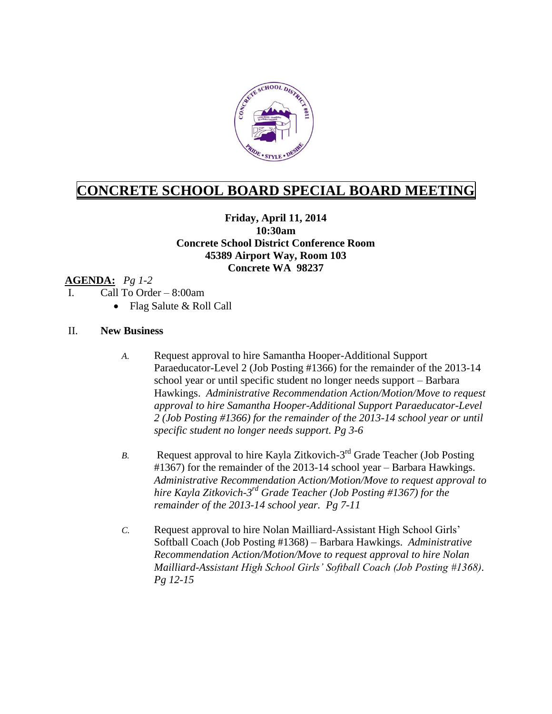

# **CONCRETE SCHOOL BOARD SPECIAL BOARD MEETING**

## **Friday, April 11, 2014 10:30am Concrete School District Conference Room 45389 Airport Way, Room 103 Concrete WA 98237**

### **AGENDA:** *Pg 1-2*

- I. Call To Order 8:00am
	- Flag Salute & Roll Call

#### II. **New Business**

- *A.* Request approval to hire Samantha Hooper-Additional Support Paraeducator-Level 2 (Job Posting #1366) for the remainder of the 2013-14 school year or until specific student no longer needs support – Barbara Hawkings. *Administrative Recommendation Action/Motion/Move to request approval to hire Samantha Hooper-Additional Support Paraeducator-Level 2 (Job Posting #1366) for the remainder of the 2013-14 school year or until specific student no longer needs support. Pg 3-6*
- B. Request approval to hire Kayla Zitkovich-3<sup>rd</sup> Grade Teacher (Job Posting #1367) for the remainder of the 2013-14 school year – Barbara Hawkings. *Administrative Recommendation Action/Motion/Move to request approval to hire Kayla Zitkovich-3 rd Grade Teacher (Job Posting #1367) for the remainder of the 2013-14 school year. Pg 7-11*
- *C.* Request approval to hire Nolan Mailliard-Assistant High School Girls' Softball Coach (Job Posting #1368) – Barbara Hawkings. *Administrative Recommendation Action/Motion/Move to request approval to hire Nolan Mailliard-Assistant High School Girls' Softball Coach (Job Posting #1368). Pg 12-15*